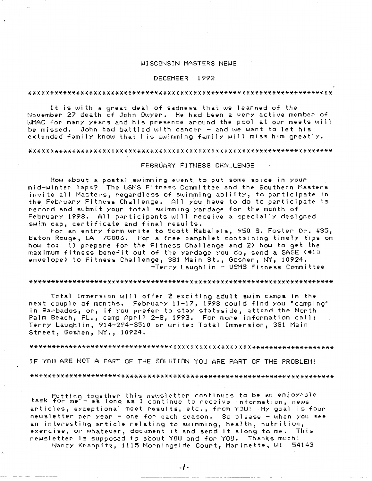# WISCONSIN MASTERS NEWS

## DECEMBER 1992

#### 

It is with a great deal of sadness that we learned of the November 27 death of John Dwyer. He had been a very active member of WMAC for many years and his presence around the pool at our meets will be missed. John had battled with cancer - and we want to let his extended family know that his swimming family will miss him greatly.

#### 

#### FEBRUARY FITNESS CHALLENGE

How about a postal swimming event to put some spice in your m i d-l.oJ i n t *e* r 1 a p s? Th *e* USM S F i t n *e* s. ·=- <sup>C</sup>omrn i t t *e e* a r, d t h *e* Sc, u t h *e* r n Mas t *e* r s invite all Masters, regardless of swimming ability, to participate in the February Fitness Challenge. All you have to do to participate is record and submit your total swimming yardage for the month of February 1993. All participants will receive a specially designed swim cap, certificate and final results.

For an entry form write to Scott Rabalais, 950 S. Foster Dr. #35, Baton Rouge, LA 70806. For a free pamphlet containing timely tips on how to: 1) prepare for the Fitness Challenge and 2) how to get the maximum fitness benefit out of the yardage you do, send a SASE (#10 envelope) to Fitness Challenge, 381 Main St., Goshen, NY, 10924. -Terry Laughlin - USMS Fitness Cc,mmi *ttee* 

## 

Total Immersion will offer 2 exciting adult swim camps in the next couple of months. February 11-17, 1993 could find you "camping" in Barbados, or, if you prefer to stay stateside, attend the North Palm Beach, FL., camp April 2-8, 1993. For more information call: Terry Laughlin, 914-294-3510 or write: Total Immersion, 381 Main Street, Goshen, NY., 10924.

## 

IF YOU ARE NOT A PART OF THE SOLUTION YOU ARE PART OF THE PROBLEM!

#### 

Puttino together this newsletter continues to be an enjoyable task for *me--* as long as I continue to receive information, news articles, exceptional meet results, etc., from YOU! My goal is four newsletter per year - one for each season. So please - when you see an interesting article relating to swimming, heal th, nutrition, exercise, or whatever, document it and send it along to *me.* This newsletter is supposed to about YOU and for YOU. ThanKs much!

Nancy Kranpitz, 1115 Morningside Court, Marinette, WI 54143

-----------·---- --- ----~~--- -----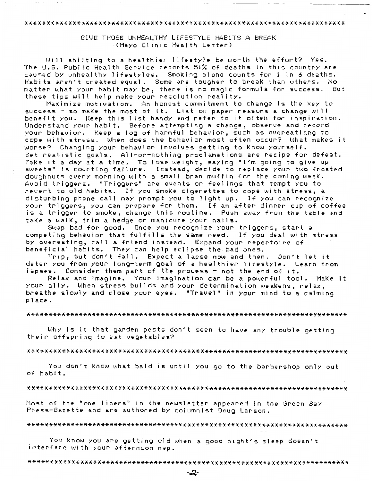#### 

GIVE THOSE UNHEALTHY LIFESTYLE HABITS A BREAK (Mayo Clinic Health Letter)

Will shifting to a healthier lifestyle be worth the effort? Yes. The U.S. Public Health Service reports 51% of deaths in this country are caused by unhealthy lifestyles. Smoking alone counts for 1 in 6 deaths. Habits aren't created equal. Some are tougher to break than others. No matter what your habit may be, there is no magic formula for success. But these tips will help make your resolution reality.

Maximize motivation. An honest commitment to change is the Key to success – so make the most of it. List on paper reasons a change will<br>benefit you. Keep this list handy and refer to it often for inspiration. Understand your habit. Before attempting a change, observe and record your behavior. Keep a log of harmful behavior, such as overeatiang to cope with stress. When does the behavior most often occur? What makes it worse? Changing your behavior involves getting to Know yourself. Set realistic goals. All-or-nothing proclamations are recipe for defeat. Take it a day at a time. To lose weight, saying "I'm going to give up sweets" is courting failure. Instead, decide to replace your two frosted<br>doughnuts every morning with a small bran muffin for the coming week. Avoid triggers. "Triggers" are events or feelings that tempt you to: revert to old habits. If you smoke cigarettes to cope with stress, a disturbing phone call may prompt you to light up. If you can recognize your triggers, you can prepare for them. If an after dinner cup of coffee is a trigger to smoke, change this routine. Push away from the table and take a walk, trim a hedge or manicure your nails.

Swap bad for good. Once you recognize your triggers, start a competing behavior that fulfills the same need. If you deal with stress by overeating, call a friend instead. Expand your repertoire of beneficial habits. They can help eclipse the bad ones.

Trip, but don't fall. Expect a lapse now and then. Don't let it deter you from your long-term goal of a healthier lifestyle. Learn from lapses. Consider them part of the process - not the end of it.

Relax and imagine. Your imagination can be a powerful tool. Make it your ally. When stress builds and your determination weakens, relax, breathe slowly and close your eyes. "Travel" in your mind to a calming place.

#### 

Why is it that garden pests don't seen to have any trouble getting their offspring to eat vegetables?

## 

You don't know what bald is until you go to the barbershop only out of habit.

## 

Most of the "one liners" in the hewsletter appeared in the Green Bay Press-Gazette and are authored by columnist Doug Larson.

#### 

You know you are getting old when a good night's sleep doesn't interfere with your afternoon nap.

#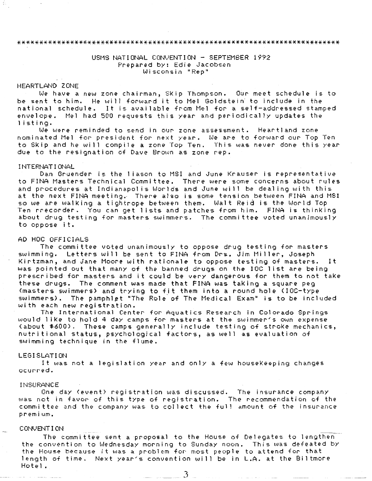#### 

# USMS NATIONAL CONVENTION - SEPTEMBER 1992 Prepared by: Edie Jacobsen Wisconsin "Rep"

# HEARTLAND ZONE

We have a new zone chairman, Skip Thompson. Our meet schedule is to *be* sent to him. He will forward it to Mel Goldstein· to include in the national schedule. It is available from Mel for a self-addressed stamped envelope. Mel had 500 requests this year and periodically updates the <sup>1</sup>isting.

We were reminded to send in our zone assessment. Heartland zone nominated Mel for president for next year. We are to forward our Top Ten to Skip and he will compile a zone Top Ten. This was never done this year due to the resignation of Dave Brown as zone rep.

#### INTERNATIONAL

Dan Gruender is the 1 iason to MSI and June Krauser is representative to FINA Masters Technical Committee. There were some concerns about rules and procedures at Indianapolis Worlds and June will be dealing with this at the next FINA meeting. There also is some tension between FINA and MSI so we are walking a tightrope between them. Walt Reid is the World Top Ten rrecorder. You can get 1 ists and patches from him. FINA is thinking about drug testing for masters swimmers. The committee voted unanimously to oppose it.

#### AD HOC OFFICIALS

The committee voted unanimously to oppose drug testing for masters swimming. Letters will *be* sent to FINA from Drs. Jim Miller, Joseph Kirtzman, and Jane Moore with rationale to oppose testing of masters. It was pointed out that many of the banned drugs on the IOC l 1st are being prescribed for masters and it could be very dangerous for them to not take these drugs. The comment was made that FINA was taking a square peg (masters swimmers) and trying to fit them into a round hole ( IOC-type swimmers). The pamphlet "The Role of The Medical Exam" is to be included with each new registration.

The International Center for Aquatics Research in Colorado Springs would like to hold 4 day camps for masters at the swimmer's own expense (about \$600). These camps generally include testing of stroke mechanics, nutritional status, psychological factors, as well as evaluation of swimming technique in the flume.

#### LEGISLATION

It was not a legislation year and only a few houseKeeping changes ocurred.

#### INSURANCE

*One* day (event) registration was discussed. The insurance company was not in favor of this type of registration. The recommendation of the committee and the company was to collect the full amount of the insurance premium.

## CONVENT I OM

The committee sent a proposal to the House of Delegates to lengthen the convention to Wednesday morning to Sunday noon. This was defeated by *the* House because it was a problem for most people to attend for that length of time. Next year's convention will *be* in L.A. at the Biltmore Hotel.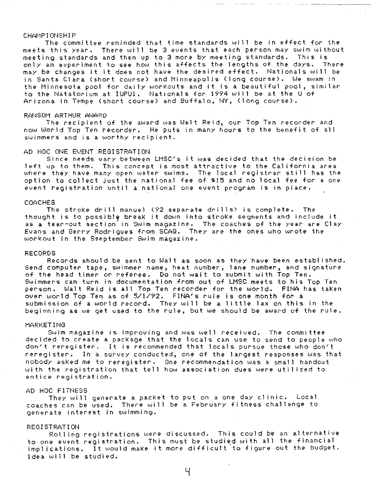## CHAMPIONSHIP

The committee reminded that time standards will *be* in effect for the meets this year. There will *be* 3 events that each person may swim without meeting standards and then up to 3 more by meeting standards. This is only an experiment to see how this affects the lengths of the days. There may *be* changes it it does not have the desired effect. Nationals will *be*  in Santa Clara (short course) and Minneapolis (long course). We swam in *the* Minnesota pool for daily workouts and it is a beautiful pool, similar to the Natatorium at IUPUI. Nationals for 1994 will be at the U of Arizona in Tempe (short course) and Buffalo, NY, (long course).

#### RANSOM ARTHUR AWARD

The recipient of the award was Walt Reid, our Top Ten recorder- and now World Top Ten recorder. He puts in many hours to the benefit of all swimmers and is a worthy recipient.

#### AD HOC ONE EVENT REGISTRATION.

Since needs vary between LMSC's it was. decided that the decision be left up to them. This concept is most attractive to the California area where they have many open water swims. The local registrar still has the option to collect just the national fee of \$15 and no local fee for a one event registration until a national one event program is in place.

#### COACHES

The stroke drill manuel (92 separate drills) is complete. The thought is to possibly break it down into stroke segments and include it as a tear-out section in Swim magazine. The coaches of the year are Clay Evans and Gerry Rodrigues from SCAQ. They are the ones who wrote the workout in tha Sseptember- Swim magazine.

### RECORDS

Records should *be* sent to Walt as soon as they have been established. Send computer tape, swimmer name, heat number, lane number, and signature of the head timer or referee. Do not wait to submit with Top *Ten.*  Swimmers can turn in documentation from out of LMSC meets to his Top Ten per-son. Walt Reid is all Top Ten recorder for the world. FINA has taken over world Top *Ten* as of 5/1/92. FINA's rule is one month for a submission of a world record. They will be a 1 ittle lax on this in the beginning as we get used to the rule, but we should be award of the rule.

## MARKET ING

Swim magazine is improving and was well received. The committee decided to create a package that the locals can use to send to people who don't reregister. It is recommended that locals pursue those who don't reregister. In a survey conducted, one of the largest responses was that nobody asked me to rer-egister. One recommendation was a small handout with the registration that tell how association dues were utilized to entice registration.

#### AD HOC FITNESS

They will generate a packet to put on a one day clinic, Local coaches can *be* used. There will *be* a February fl tness challenge to g *e* n e r a. t *e* i n t *e* r· *e* st i n s, .. .\_, i mm i n g .

## REGISTRATION

Rolling registrations were discussed. This could be an alternative to one event registration. This must be studied with all the financial implications, It would maKe it more difficult to figure out the budget. I dea will be studied.

 $\mathcal{H}$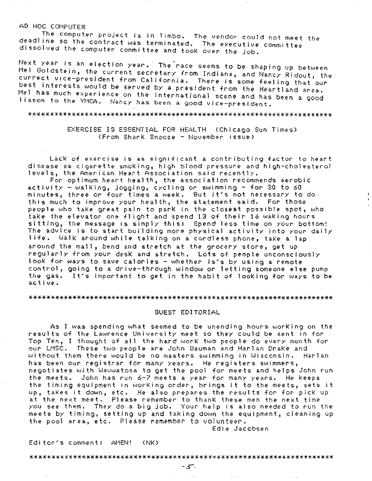# AD HOC COMPUTER

*!he* computer project is in 1 imbo, The vendor could not meet the deadline so the contract was terminated. The executive committee dissolved the computer committee and took over the Job.

Next year is an election year. The race seems to be shaping up between. Mel Goldstein, the current secretary from Indiana, and Nancy Ridout, the currect vice-president from California. There is some feeling that our best interests would be served by a president from the Heartland area. Mel has much experience on the international scene and has been a good liason to the YMCA. Nancy has been a good vice-president.

#### 

# EXERCISE IS ESSENTIAL FOR HEALTH (Chicago Sun Times) (From Shark Snooze - November issue)

Lack of exercise is as significant a contributing factor to heart disease as cigarette smoking, high blood pressure and high-cholesterol levels, the American Heart Association said recently.

For optimum heart health, the association recommends aerobic  $activity - walking, jogging, cycling or swimming - for 30 to 60$ minutes, three or four times a weeK. But it's not necessary to do. this much to improve your health, the statement said. For those people who take great pain to park in the closest possible spot, who take the elevator one flight and spend 13 of their 16 waking hours sitting, the message is simply this: Spend less time on your bottom! The advice is to start building more physical activity into your daily <sup>1</sup>ife. WalK around whiie talking on a cordless phone, taKe a lap around the mall, bend and stretch at the grocery store, get up regularly from your desk and stretch. Lots of people unconsciously looK for ways to save calories - whether is's by using a remote control, going to a drive-through window or letting someone else pump the gas. It's important to get in the habit of looking for ways to be active.

#### 

## GUEST EDITORIAL

As I was spending what seemed to be unending hours working on the results of the Lawrence University meet so they could *be* sent in for Top Ten, I thought of all the hard work two people do every month for our LMSC. These two people are John Bauman and Harlan Drake and without them there would *be* no masters swimming in Wisconsin. Harlan has been our registrar for many years. He registers swimmers, negotiates with Wauwatosa to get the pool for meets and helps John run the meets. John has run 6-7 meets a year for many years. He Keeps the timing equipment in working order, brings it to the meets, sets it up, takes it down, etc. He also prepares the results for for pick up at the next meet. Please remember to thank these men the next time you see them. They do a big job. Your help is also needed to run the meets by timing, setting up and taking down the equipment, cleaning up the pool area, etc. Please remember to volunteer.

Edie Jacobsen

#### Editor's comment: AMEN! <NK)

####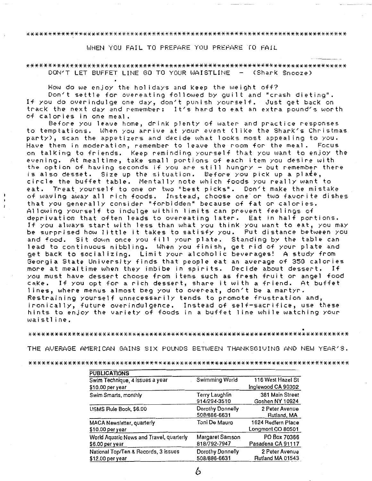## \*\*\*\*\*\*\*\*\*\*\*\*\*\*\*\*\*\*\*\*\*\*\*\*\*\*\*\*\*\*\*\*\*\*\*\*\*\*\*\*\*\*\*\*\*\*\*\*\*\*\*\*\*\*\*\*\*\*\*\*\*\*\*\*\*\*\*\*\*\*\*\*\*\*

WHEN YOU FAIL TO PREPARE YOU PREPARE ro FAIL

# \*\*\*\*\*\*\*\*\*\*\*\*\*\*\*\*\*\*\*\*\*\*\*\*\*\*\*\*\*\*\*\*\*\*\*\*\*\*\*\*\*\*\*\*\*\*\*\*\*\*\*\*\*\*\*\*\*\*\*\*\*\*\*\*\*\*\*\*\*\*\*\*\*\* DON'T LET BUFFET LINE GO TO YOUR WAISTLINE - (Shark Snooze)

How do we enjoy the holidays and Keep the weight off?

Don't settle for overeating followed by guilt and "crash dieting". If you do overindulge one day, don't punish yourself. Just get back on track the next day and remember: It's hard to eat an extra pound's worth of calories in one meal.

Before you leave home, drink plenty of water and practice responses to temptations. When you arrive at your event (1 iKe the Shark's Christmas party), scan the appetizers and decide what looks most appealing to you. Have them in moderation, remember to leave the room for the meal. Focus, on talking to friends. Keep reminding yourself that you want to enjoy the evening. At mealtime, take small portions of each item you desire with the option of having seconds if you are still hungry - but remember there is also desset. Size up the situation. Before you picK up a plate, circle the buffet table. Mentally note which foods you really want to eat. Treat yourself to one or two "best picks". Don't make the mistake of waving away all rich foods. Instead, choose one or two favorite dishes that you generally consider "forbidden" because of fat or calories. Allowing yourself to indulge within limits can prevent feelings of deprivation that often leads to overeating later. Eat in half portions. If you always start with less than what you think you want to eat, you may be surprised how little it takes to satisfy you. Put distance between you and food. Sit down once you fill your plate. Standing by the table can lead to continuous nibbling. When you finish, get rid of your plate and get bacK to socializing. Limit your alcoholic beverages! A study from Georgia State University finds that people eat an average of 350 calories more at mealtime when they imbibe in spirits. Decide about dessert. If you must have dessert choose from items such as fresh fruit or angel food cake. If you opt for a rich dessert, share it with a friend. At buffet <sup>1</sup>ines, where menus almost beg you to overeat, don't be a martyr. Restraining yourself unnecessarily tends to promote frustration and, ironically, future overindulgence. Instead of self-sacrifice, use these hints to enjoy the variety of foods in a buffet 1 ine while watching your waistline.

• \*\*\*\*\*\*\*\*\*\*\*\*\*\*\*\*\*\*\*\*\*\*\*\*\*\*\*\*\*\*\*\*\*\*\*\*\*\*\*\*\*\*\*\*\*\*\*\*\*\*\*\*\*\*\*\*\*\*\*\*\*\*\*\*\*\*\*\*\*\*\*\*\*\*

THE AVERAGE AMERICAN GAINS SIX POUNDS BETWEEN THANKSGIVING AND NEW YEAR'S.

#### \*\*\*\*\*\*\*\*\*\*\*\*\*\*\*\*\*\*\*\*\*\*\*\*\*\*\*\*\*\*\*\*\*\*\*\*\*\*\*\*\*\*\*\*\*\*\*\*\*\*\*\*\*\*\*\*\*\*\*\*\*\*\*\*\*\*\*\*\*\*\*\*\*\*

| <b>PUBLICATIONS</b>                                         |                                  |                                         |
|-------------------------------------------------------------|----------------------------------|-----------------------------------------|
| Swim Technique, 4 issues a year                             | Swimming World                   | 116 West Hazel St                       |
| \$10.00 per year                                            |                                  | Inglewood CA 90302                      |
| Swim Smarts, monthly                                        | Terry Laughlin<br>914/294-3510   | 381 Main Street<br>Goshen NY 10924      |
| USMS Rule Book, \$6.00                                      | Dorothy Donnelly<br>508/886-6631 | 2 Peter Avenue<br>Rutland, MA           |
| <b>MACA Newsletter, quarterly</b><br>\$10.00 per year       | Toni De Mauro                    | 1624 Redfern Place<br>Longmont CO 80501 |
| World Aquatic News and Travel, quarterly<br>\$6.00 per year | Margaret Samson<br>818/792-7947  | PO Box 70366<br>Pasadena CA 91117       |
| National Top/Ten & Records, 3 issues<br>$$12.00$ per year   | Dorothy Donnelly<br>508/886-6631 | 2 Peter Avenue<br>Rutland MA 01543      |

b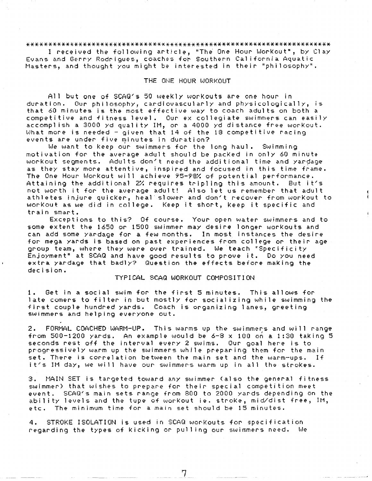# 

I received the following article, "The One Hour Workout", by Clay Evans and Gerry Rodrigues, coaches for Southern California Aquatic Masters, and thought you might be interested in their "philosophy".

## THE ONE HOUR WORKOUT

All but one of SCAQ's 50 weekly workouts are one hour in duration. Our philosophy, cardiovascularly and physicologically, is that 60 minutes is the most effective way to coach adults on both a competitive and fitness level. Our excollegiate swimmers can easily<br>accomplish a 3000 yd quality IM, or a 4000 yd distance free workout.<br>What more is needed - given that 14 of the 18 competitive racing events are under five minutes in duration?

We want to Keep our swimmers for the long haul. Swimming motivation for the average adult should be packed in only 60 minute workout segments. Adults don't need the additional time and yardage as they stay more attentive, inspired and focused in this time frame. The One Hour Workout will achieve 95-98% of potential performance. Attaining the additional 2% requires tripling this amount. But it's not worth it for the average adult! Also let us remember that adult athletes injure quicker, heal slower and don't recover from workout to workout as we did in college. Keep it short, keep it specific and train smart.

Exceptions to this? Of course. Your open water swimmers and to some extent the 1650 or 1500 swimmer may desire longer workouts and can add some yardage for a few months. In most instances the desire for mega yards is based on past experiences from college or their age group team, where they were over trained. We teach "Specificity Enjoyment" at SCAQ and have good results to prove it. Do you need extra yardage that badly? Question the effects before making the decision.

## TYPICAL SCAQ WORKOUT COMPOSITION

Get in a social swim for the first 5 minutes. This allows for 1. late comers to filter in but mostly for socializing while swimming the first couple hundred yards. Coach is organizing lanes, greeting swimmers and helping everyone out.

2. FORMAL COACHED WARM-UP. This warms up the swimmers and will range from 500-1200 yards. An example would be 6-8 x 100 on a 1:30 taking 5 seconds rest off the interval every 2 swims. Our goal here is to progressively warm up the swimmers while preparing them for the main set. There is correlation between the main set and the warm-ups. If it's IM day, we will have our swimmers warm up in all the strokes.

3. MAIN SET is tangeted toward any swimmer (also the general fitness swimmer) that wishes to prepare for their special competition meet event. SCAQ's main sets range from 800 to 2000 yards depending on the ability levels and the tupe of workout ie. stroke, mid/dist free, IM, etc. The minimum time for a main set should be 15 minutes.

4. STROKE ISOLATION is used in SCAQ workouts for specification reganding the types of kicking or pulling our swimmers need. We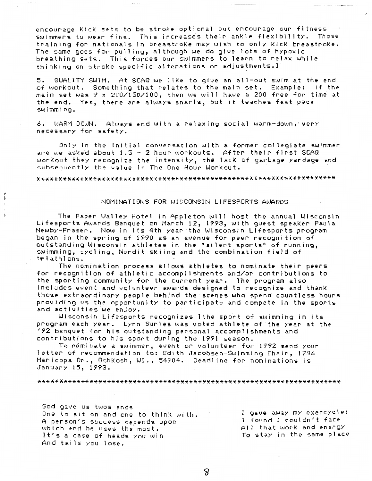encourage Kick sets to be stroke optional but encourage our fitness. swimmers to wear fins. This increases their ankle flexibility. Those training for nationals in breastroke may wish to only kick breastroke. The same goes for pulling, although we do give lots of hypoxic breathing sets. This forces our swimmers to learn to relax while thinking on stroke specific alterations or adjustments.1

QUALITY SWIM. At SCAQ we like to give an all-out swim at the end 5. of workout. Something that relates to the main set. Example: if the main set was 9 x 200/150/100, then we will have a 200 free for time at the end. Yes, there are always snarls, but it teaches fast pace swimming.

6. WARM DOWN. Always end with a relaxing social warm-down, very necessary for safety.

Only in the initial conversation with a former collegiate swimmer are we asked about 1.5 - 2 hour workouts. After their first SCAQ workout they recognize the intensity, the lack of garbage yardage and subsequently the value in The One Hour Workout.

## NOMINATIONS FOR WISCONSIN LIFESPORTS AWARDS

The Paper Valley Hotel in Appleton will host the annual Wisconsin-Lifesports Awards Banquet on March 12, 1993, with guest speaker Paula Newby-Fraser. Now in its 4th year the Wisconsin Lifesports program began in the spring of 1990 as an avenue for peer recognition of outstanding Wisconsin athletes in the "silent sports" of running, swimming, cycling, Nordit skiing and the combination field of triathlons.

The nomination process allows athletes to nominate their peers' for recognition of athletic accomplishments and/or contributions to the sporting community for the current year. The program also includes event and volunteer awards designed to recognize and thank those extraordinary people behind the scenes who spend countless hours providing us the opportunity to participate and compete in the sports and activities we enjoy.

Wisconsin Lifesports recognizes lthe sport of swimming in its program each year. Lynn Surles was voted athlete of the year at the 192 banquet for his outstanding personal accomplishments and contributions to his sport during the 1991 season.

To nominate a swimmer, event or volunteer for 1992 send your letter of recommendation to: Edith Jacobsen-Swimming Chair, 1786 Maricopa Dr., Oshkosh, WI., 54904. Deadline for nominations is January 15, 1993.

God gave us twos ends One to sit on and one to think with. A person's success depends upon which end he uses the most. It's a case of heads you win And tails you lose.

I gave away my exencycle: I found I couldn't face All that work and energy To stay in the same place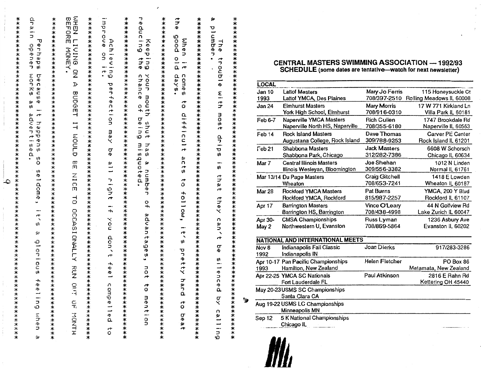| ************                                                                                                                                                                                      |
|---------------------------------------------------------------------------------------------------------------------------------------------------------------------------------------------------|
| ロウルニコ<br>ℸյ<br>apener<br>enhapa<br><b>SOLK®</b><br>because<br>90<br>10<br>it happens<br><b>ACCORATION</b><br>s.<br>seldome,<br>$\frac{1}{2}$<br>Q<br>glorious<br>$\frac{4}{9}$<br>eling when<br>ω |
| ***********                                                                                                                                                                                       |
| WHEN LICING ON<br>BEFORE MONEY.<br>D<br>BUDGET IT NOULD<br>m<br>m<br>NICE<br>TO OCCASIONALLY RUN O<br><b>EAST NONTH</b>                                                                           |
| ************                                                                                                                                                                                      |
| improve<br>Achieving<br>on it.<br><b>Perfection Bay Pe</b><br>all right if you don't feel<br>U<br>cmpelled<br>ე<br>ნ                                                                              |
| ***********                                                                                                                                                                                       |
| reducing<br>Keeping<br>すっ<br>your mouth<br>chance<br>of being<br>abdat<br>misquoted<br>has<br>ŷJ<br>つこうびゅつ<br>$\frac{0}{4}$<br>advantages,<br>$\frac{1}{2}$<br>$\overline{r}$<br>O<br>mention     |
| ***********                                                                                                                                                                                       |
| こっこ<br>poo6<br>When it<br>$\frac{0}{\alpha}$<br>aays<br>comes<br>õ<br>difficult<br>stss<br>ឹ<br>follow,<br>ディッ<br>pretty<br>a<br>W<br>ã<br>$\boldsymbol{\hat{\circ}}$<br>beat                     |
| ж<br>************                                                                                                                                                                                 |
| Ŵ<br><b>Plomber.</b><br>The<br>trouble sith mont drips is that<br>they can't<br>a<br>E<br>silence<br>ā,<br>by calling                                                                             |
| ***********                                                                                                                                                                                       |
|                                                                                                                                                                                                   |

# CENTRAL MASTERS SWIMMING ASSOCIATION --- 1992/93<br>SCHEDULE (some dates are tentative—watch for next newsletter)

| <b>LOCAL</b>                     |                                              |                       |                          |  |
|----------------------------------|----------------------------------------------|-----------------------|--------------------------|--|
| Jan 10                           | <b>Lattof Masters</b>                        | Mary Jo Ferris        | 115 Honeysuckle Ct       |  |
| 1993                             | <b>Lattof YMCA, Des Plaines</b>              | 708/397-2510          | Rolling Meadows IL 60008 |  |
| <b>Jan 24</b>                    | <b>Elmhurst Masters</b>                      | <b>Mary Morris</b>    | 17 W 771 Kirkland Ln     |  |
|                                  | York High School, Elmhurst                   | 708/916-0310          | Villa Park IL 60181      |  |
| Feb 6-7                          | Naperville YMCA Masters                      | <b>Rich Cullen</b>    | 1747 Brookdale Rd        |  |
|                                  | Naperville North HS, Naperville              | 708/355-6180          | Naperville IL 60563      |  |
| Feb <sub>14</sub>                | <b>Rock Island Masters</b>                   | Dave Thomas           | <b>Carver PE Center</b>  |  |
|                                  | Augustana College, Rock Island               | 309/788-9253          | Rock Island IL 61201     |  |
| $\Gamma$ eb 21                   | Shabbona Masters                             | <b>Jack Masters</b>   | 6608 W Schorsch          |  |
|                                  | Shabbona Park, Chicago                       | 312/282-7386          | Chicago IL 60634         |  |
| Mar 7                            | <b>Central Illinois Masters</b>              | Joe Shehan            | 1012 N Linden            |  |
|                                  | Illinois Wesleyan, Bloomington               | 309/556-3382          | Normal IL 61761          |  |
|                                  | Mar 13/14 Du Page Masters                    | <b>Craig Gitchell</b> | 1418 E Lowden            |  |
|                                  | Wheaton                                      | 708/653-7241          | Wheaton IL 60187         |  |
| <b>Mar 28</b>                    | <b>Rockford YMCA Masters</b>                 | Pat Burns             | YMCA, 200 Y Blvd         |  |
|                                  | Rockford YMCA, Rockford                      | 815/987-2257          | Rockford IL 61107        |  |
| Apr 17                           | <b>Barrington Masters</b>                    | Vince O'Leary         | 44 N Golfview Rd         |  |
|                                  | Barrington HS, Barrington                    | 708/438-4998          | Lake Zurich IL 60047     |  |
| Apr 30-                          | <b>CMSA Championships</b>                    | Russ Lyman            | 1236 Asbury Ave          |  |
| May 2                            | Northwestern U, Evanston                     | 708/869-5864          | Evanston IL 60202        |  |
| NATIONAL AND INTERNATIONAL MEETS |                                              |                       |                          |  |
| Nov 8<br>1992                    | Indianapolis Fall Classic<br>Indianapolis IN | Joan Dierks           | 917/283-3286             |  |
|                                  | Apr 10-17 Pan Pacific Championships          | <b>Helen Fletcher</b> | PO Box 86                |  |
| 1993                             | Hamilton, New Zealand                        |                       | Matamata, New Zealand    |  |
|                                  | Apr 22-25 YMCA SC Nationals                  | Paul Atkinson         | 2816 E Rahn Rd           |  |
|                                  | Fort Lauderdale FL                           |                       | Kettering OH 45440       |  |
|                                  | May 20-23 USMS SC Championships              |                       |                          |  |
|                                  | Santa Clara CA                               |                       |                          |  |
| Aug 19-22 USMS LC Championships  |                                              |                       |                          |  |
|                                  | Minneapolis MN                               |                       |                          |  |
| Sep 12                           | 5 K National Championships                   |                       |                          |  |
|                                  | Chicago IL                                   |                       |                          |  |

M